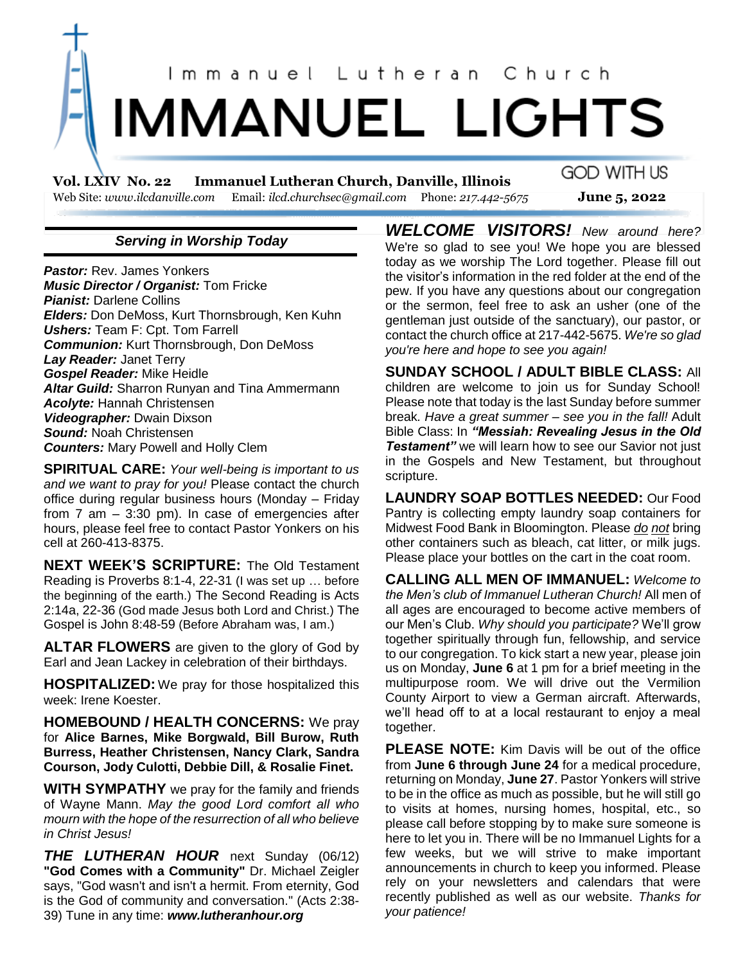

**Vol. LXIV No. 22 Immanuel Lutheran Church, Danville, Illinois**  Web Site: *www.ilcdanville.com* Email: *ilcd.churchsec@gmail.com* Phone: *217.442-5675* **June 5, 2022**

# **GOD WITH US**

## *Serving in Worship Today*

*Pastor:* Rev. James Yonkers *Music Director / Organist:* Tom Fricke *Pianist:* Darlene Collins *Elders:* Don DeMoss, Kurt Thornsbrough, Ken Kuhn *Ushers:* Team F: Cpt. Tom Farrell *Communion:* Kurt Thornsbrough, Don DeMoss *Lay Reader:* Janet Terry *Gospel Reader:* Mike Heidle *Altar Guild:* Sharron Runyan and Tina Ammermann *Acolyte:* Hannah Christensen *Videographer:* Dwain Dixson *Sound:* Noah Christensen *Counters:* Mary Powell and Holly Clem

**SPIRITUAL CARE:** *Your well-being is important to us and we want to pray for you!* Please contact the church office during regular business hours (Monday – Friday from 7 am – 3:30 pm). In case of emergencies after hours, please feel free to contact Pastor Yonkers on his cell at 260-413-8375.

**NEXT WEEK'S SCRIPTURE:** The Old Testament Reading is Proverbs 8:1-4, 22-31 (I was set up … before the beginning of the earth.) The Second Reading is Acts 2:14a, 22-36 (God made Jesus both Lord and Christ.) The Gospel is John 8:48-59 (Before Abraham was, I am.)

**ALTAR FLOWERS** are given to the glory of God by Earl and Jean Lackey in celebration of their birthdays.

**HOSPITALIZED:** We pray for those hospitalized this week: Irene Koester.

**HOMEBOUND / HEALTH CONCERNS:** We pray for **Alice Barnes, Mike Borgwald, Bill Burow, Ruth Burress, Heather Christensen, Nancy Clark, Sandra Courson, Jody Culotti, Debbie Dill, & Rosalie Finet.**

**WITH SYMPATHY** we pray for the family and friends of Wayne Mann. *May the good Lord comfort all who mourn with the hope of the resurrection of all who believe in Christ Jesus!*

*THE LUTHERAN HOUR* next Sunday (06/12) **"God Comes with a Community"** Dr. Michael Zeigler says, "God wasn't and isn't a hermit. From eternity, God is the God of community and conversation." (Acts 2:38- 39) Tune in any time: *www.lutheranhour.org*

*WELCOME VISITORS! New around here?* We're so glad to see you! We hope you are blessed today as we worship The Lord together. Please fill out the visitor's information in the red folder at the end of the pew. If you have any questions about our congregation or the sermon, feel free to ask an usher (one of the gentleman just outside of the sanctuary), our pastor, or contact the church office at 217-442-5675. *We're so glad you're here and hope to see you again!*

**SUNDAY SCHOOL / ADULT BIBLE CLASS:** All children are welcome to join us for Sunday School! Please note that today is the last Sunday before summer break*. Have a great summer – see you in the fall!* Adult Bible Class: In *"Messiah: Revealing Jesus in the Old*  **Testament**" we will learn how to see our Savior not just in the Gospels and New Testament, but throughout scripture.

**LAUNDRY SOAP BOTTLES NEEDED:** Our Food Pantry is collecting empty laundry soap containers for Midwest Food Bank in Bloomington. Please *do not* bring other containers such as bleach, cat litter, or milk jugs. Please place your bottles on the cart in the coat room.

**CALLING ALL MEN OF IMMANUEL:** *Welcome to the Men's club of Immanuel Lutheran Church!* All men of all ages are encouraged to become active members of our Men's Club. *Why should you participate?* We'll grow together spiritually through fun, fellowship, and service to our congregation. To kick start a new year, please join us on Monday, **June 6** at 1 pm for a brief meeting in the multipurpose room. We will drive out the Vermilion County Airport to view a German aircraft. Afterwards, we'll head off to at a local restaurant to enjoy a meal together.

**PLEASE NOTE:** Kim Davis will be out of the office from **June 6 through June 24** for a medical procedure, returning on Monday, **June 27**. Pastor Yonkers will strive to be in the office as much as possible, but he will still go to visits at homes, nursing homes, hospital, etc., so please call before stopping by to make sure someone is here to let you in. There will be no Immanuel Lights for a few weeks, but we will strive to make important announcements in church to keep you informed. Please rely on your newsletters and calendars that were recently published as well as our website. *Thanks for your patience!*